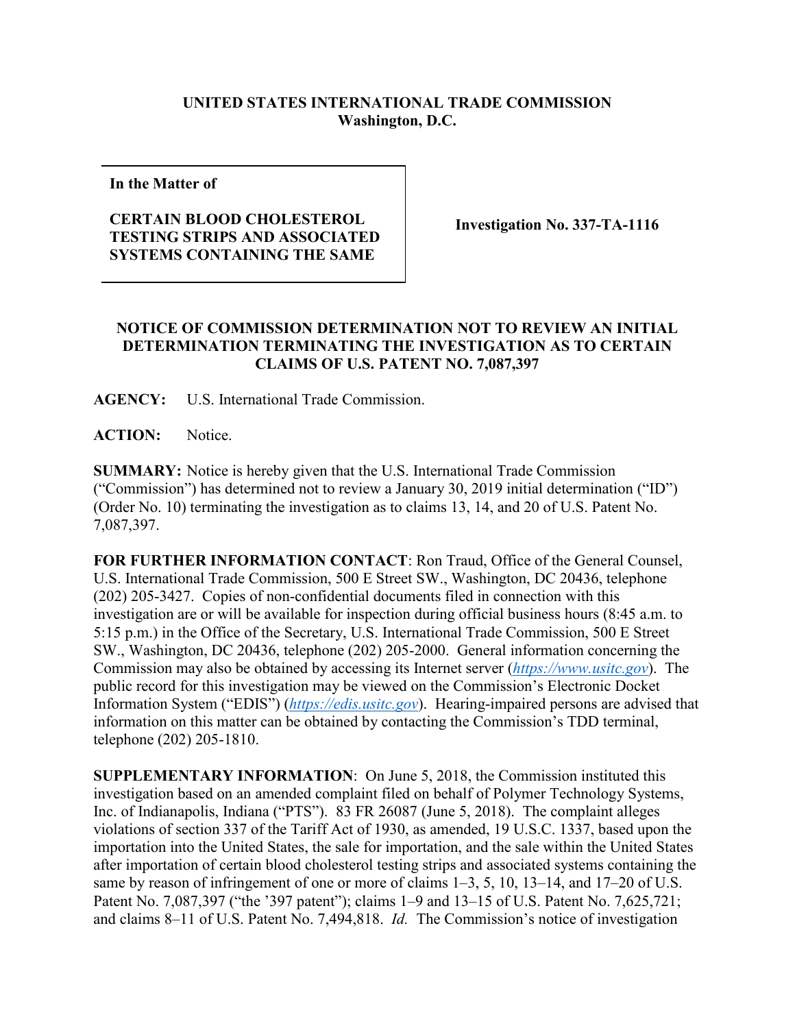## **UNITED STATES INTERNATIONAL TRADE COMMISSION Washington, D.C.**

**In the Matter of**

## **CERTAIN BLOOD CHOLESTEROL TESTING STRIPS AND ASSOCIATED SYSTEMS CONTAINING THE SAME**

**Investigation No. 337-TA-1116**

## **NOTICE OF COMMISSION DETERMINATION NOT TO REVIEW AN INITIAL DETERMINATION TERMINATING THE INVESTIGATION AS TO CERTAIN CLAIMS OF U.S. PATENT NO. 7,087,397**

**AGENCY:** U.S. International Trade Commission.

**ACTION:** Notice.

**SUMMARY:** Notice is hereby given that the U.S. International Trade Commission ("Commission") has determined not to review a January 30, 2019 initial determination ("ID") (Order No. 10) terminating the investigation as to claims 13, 14, and 20 of U.S. Patent No. 7,087,397.

**FOR FURTHER INFORMATION CONTACT**: Ron Traud, Office of the General Counsel, U.S. International Trade Commission, 500 E Street SW., Washington, DC 20436, telephone (202) 205-3427. Copies of non-confidential documents filed in connection with this investigation are or will be available for inspection during official business hours (8:45 a.m. to 5:15 p.m.) in the Office of the Secretary, U.S. International Trade Commission, 500 E Street SW., Washington, DC 20436, telephone (202) 205-2000. General information concerning the Commission may also be obtained by accessing its Internet server (*[https://www.usitc.gov](https://www.usitc.gov/)*). The public record for this investigation may be viewed on the Commission's Electronic Docket Information System ("EDIS") (*[https://edis.usitc.gov](https://edis.usitc.gov/)*). Hearing-impaired persons are advised that information on this matter can be obtained by contacting the Commission's TDD terminal, telephone (202) 205-1810.

**SUPPLEMENTARY INFORMATION**: On June 5, 2018, the Commission instituted this investigation based on an amended complaint filed on behalf of Polymer Technology Systems, Inc. of Indianapolis, Indiana ("PTS"). 83 FR 26087 (June 5, 2018). The complaint alleges violations of section 337 of the Tariff Act of 1930, as amended, 19 U.S.C. 1337, based upon the importation into the United States, the sale for importation, and the sale within the United States after importation of certain blood cholesterol testing strips and associated systems containing the same by reason of infringement of one or more of claims 1–3, 5, 10, 13–14, and 17–20 of U.S. Patent No. 7,087,397 ("the '397 patent"); claims 1–9 and 13–15 of U.S. Patent No. 7,625,721; and claims 8–11 of U.S. Patent No. 7,494,818. *Id.* The Commission's notice of investigation